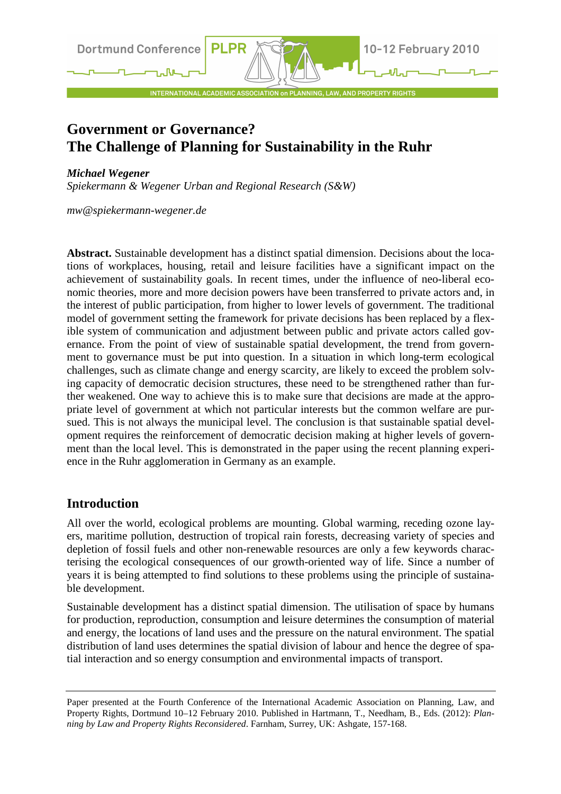**Dortmund Conference** 

INTERNATIONAL ACADEMIC ASSOCIATION on PLANNING, LAW, AND PROPERTY RIGHTS

# **Government or Governance? The Challenge of Planning for Sustainability in the Ruhr**

**PLPR** 

#### *Michael Wegener*

*Spiekermann & Wegener Urban and Regional Research (S&W)* 

*mw@spiekermann-wegener.de* 

**Abstract.** Sustainable development has a distinct spatial dimension. Decisions about the locations of workplaces, housing, retail and leisure facilities have a significant impact on the achievement of sustainability goals. In recent times, under the influence of neo-liberal economic theories, more and more decision powers have been transferred to private actors and, in the interest of public participation, from higher to lower levels of government. The traditional model of government setting the framework for private decisions has been replaced by a flexible system of communication and adjustment between public and private actors called governance. From the point of view of sustainable spatial development, the trend from government to governance must be put into question. In a situation in which long-term ecological challenges, such as climate change and energy scarcity, are likely to exceed the problem solving capacity of democratic decision structures, these need to be strengthened rather than further weakened. One way to achieve this is to make sure that decisions are made at the appropriate level of government at which not particular interests but the common welfare are pursued. This is not always the municipal level. The conclusion is that sustainable spatial development requires the reinforcement of democratic decision making at higher levels of government than the local level. This is demonstrated in the paper using the recent planning experience in the Ruhr agglomeration in Germany as an example.

# **Introduction**

All over the world, ecological problems are mounting. Global warming, receding ozone layers, maritime pollution, destruction of tropical rain forests, decreasing variety of species and depletion of fossil fuels and other non-renewable resources are only a few keywords characterising the ecological consequences of our growth-oriented way of life. Since a number of years it is being attempted to find solutions to these problems using the principle of sustainable development.

Sustainable development has a distinct spatial dimension. The utilisation of space by humans for production, reproduction, consumption and leisure determines the consumption of material and energy, the locations of land uses and the pressure on the natural environment. The spatial distribution of land uses determines the spatial division of labour and hence the degree of spatial interaction and so energy consumption and environmental impacts of transport.

Paper presented at the Fourth Conference of the International Academic Association on Planning, Law, and Property Rights, Dortmund 10–12 February 2010. Published in Hartmann, T., Needham, B., Eds. (2012): *Planning by Law and Property Rights Reconsidered*. Farnham, Surrey, UK: Ashgate, 157-168.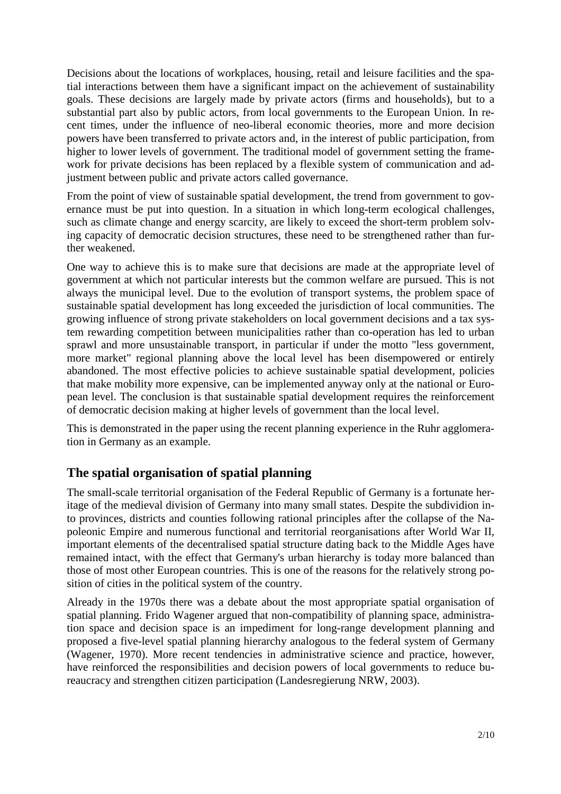Decisions about the locations of workplaces, housing, retail and leisure facilities and the spatial interactions between them have a significant impact on the achievement of sustainability goals. These decisions are largely made by private actors (firms and households), but to a substantial part also by public actors, from local governments to the European Union. In recent times, under the influence of neo-liberal economic theories, more and more decision powers have been transferred to private actors and, in the interest of public participation, from higher to lower levels of government. The traditional model of government setting the framework for private decisions has been replaced by a flexible system of communication and adjustment between public and private actors called governance.

From the point of view of sustainable spatial development, the trend from government to governance must be put into question. In a situation in which long-term ecological challenges, such as climate change and energy scarcity, are likely to exceed the short-term problem solving capacity of democratic decision structures, these need to be strengthened rather than further weakened.

One way to achieve this is to make sure that decisions are made at the appropriate level of government at which not particular interests but the common welfare are pursued. This is not always the municipal level. Due to the evolution of transport systems, the problem space of sustainable spatial development has long exceeded the jurisdiction of local communities. The growing influence of strong private stakeholders on local government decisions and a tax system rewarding competition between municipalities rather than co-operation has led to urban sprawl and more unsustainable transport, in particular if under the motto "less government, more market" regional planning above the local level has been disempowered or entirely abandoned. The most effective policies to achieve sustainable spatial development, policies that make mobility more expensive, can be implemented anyway only at the national or European level. The conclusion is that sustainable spatial development requires the reinforcement of democratic decision making at higher levels of government than the local level.

This is demonstrated in the paper using the recent planning experience in the Ruhr agglomeration in Germany as an example.

# **The spatial organisation of spatial planning**

The small-scale territorial organisation of the Federal Republic of Germany is a fortunate heritage of the medieval division of Germany into many small states. Despite the subdividion into provinces, districts and counties following rational principles after the collapse of the Napoleonic Empire and numerous functional and territorial reorganisations after World War II, important elements of the decentralised spatial structure dating back to the Middle Ages have remained intact, with the effect that Germany's urban hierarchy is today more balanced than those of most other European countries. This is one of the reasons for the relatively strong position of cities in the political system of the country.

Already in the 1970s there was a debate about the most appropriate spatial organisation of spatial planning. Frido Wagener argued that non-compatibility of planning space, administration space and decision space is an impediment for long-range development planning and proposed a five-level spatial planning hierarchy analogous to the federal system of Germany (Wagener, 1970). More recent tendencies in administrative science and practice, however, have reinforced the responsibilities and decision powers of local governments to reduce bureaucracy and strengthen citizen participation (Landesregierung NRW, 2003).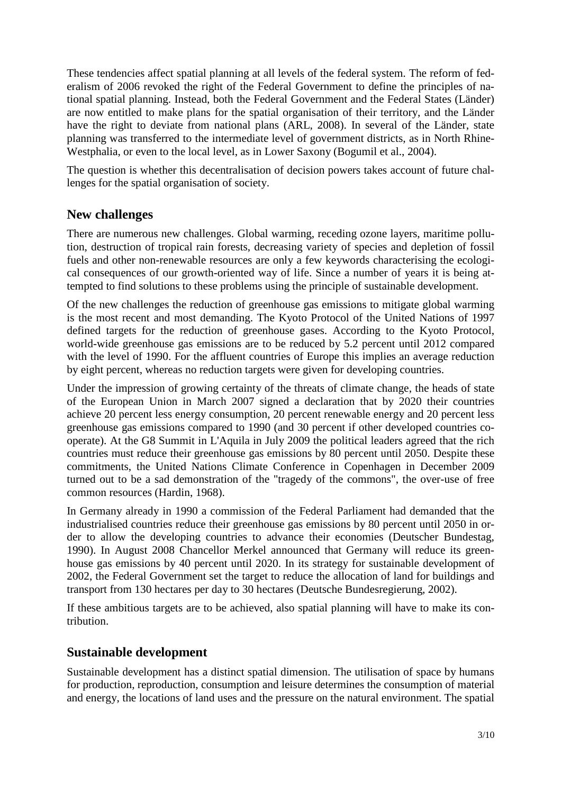These tendencies affect spatial planning at all levels of the federal system. The reform of federalism of 2006 revoked the right of the Federal Government to define the principles of national spatial planning. Instead, both the Federal Government and the Federal States (Länder) are now entitled to make plans for the spatial organisation of their territory, and the Länder have the right to deviate from national plans (ARL, 2008). In several of the Länder, state planning was transferred to the intermediate level of government districts, as in North Rhine-Westphalia, or even to the local level, as in Lower Saxony (Bogumil et al., 2004).

The question is whether this decentralisation of decision powers takes account of future challenges for the spatial organisation of society.

#### **New challenges**

There are numerous new challenges. Global warming, receding ozone layers, maritime pollution, destruction of tropical rain forests, decreasing variety of species and depletion of fossil fuels and other non-renewable resources are only a few keywords characterising the ecological consequences of our growth-oriented way of life. Since a number of years it is being attempted to find solutions to these problems using the principle of sustainable development.

Of the new challenges the reduction of greenhouse gas emissions to mitigate global warming is the most recent and most demanding. The Kyoto Protocol of the United Nations of 1997 defined targets for the reduction of greenhouse gases. According to the Kyoto Protocol, world-wide greenhouse gas emissions are to be reduced by 5.2 percent until 2012 compared with the level of 1990. For the affluent countries of Europe this implies an average reduction by eight percent, whereas no reduction targets were given for developing countries.

Under the impression of growing certainty of the threats of climate change, the heads of state of the European Union in March 2007 signed a declaration that by 2020 their countries achieve 20 percent less energy consumption, 20 percent renewable energy and 20 percent less greenhouse gas emissions compared to 1990 (and 30 percent if other developed countries cooperate). At the G8 Summit in L'Aquila in July 2009 the political leaders agreed that the rich countries must reduce their greenhouse gas emissions by 80 percent until 2050. Despite these commitments, the United Nations Climate Conference in Copenhagen in December 2009 turned out to be a sad demonstration of the "tragedy of the commons", the over-use of free common resources (Hardin, 1968).

In Germany already in 1990 a commission of the Federal Parliament had demanded that the industrialised countries reduce their greenhouse gas emissions by 80 percent until 2050 in order to allow the developing countries to advance their economies (Deutscher Bundestag, 1990). In August 2008 Chancellor Merkel announced that Germany will reduce its greenhouse gas emissions by 40 percent until 2020. In its strategy for sustainable development of 2002, the Federal Government set the target to reduce the allocation of land for buildings and transport from 130 hectares per day to 30 hectares (Deutsche Bundesregierung, 2002).

If these ambitious targets are to be achieved, also spatial planning will have to make its contribution.

#### **Sustainable development**

Sustainable development has a distinct spatial dimension. The utilisation of space by humans for production, reproduction, consumption and leisure determines the consumption of material and energy, the locations of land uses and the pressure on the natural environment. The spatial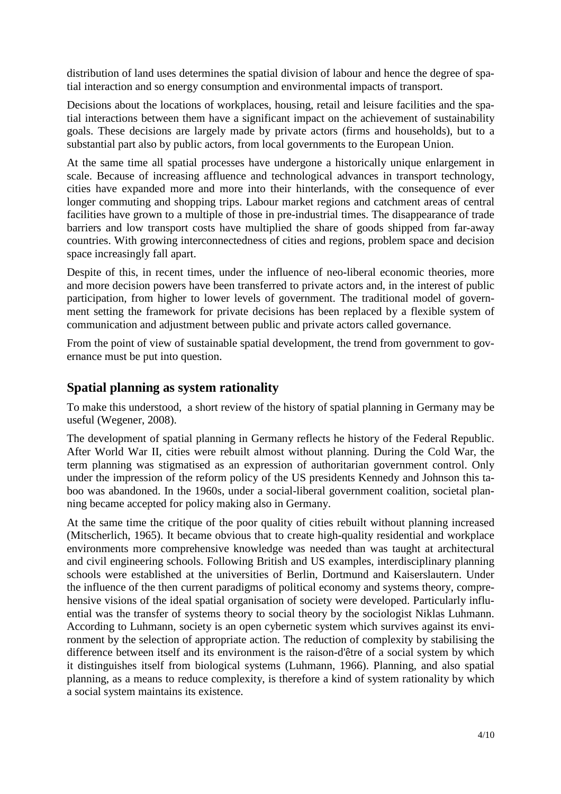distribution of land uses determines the spatial division of labour and hence the degree of spatial interaction and so energy consumption and environmental impacts of transport.

Decisions about the locations of workplaces, housing, retail and leisure facilities and the spatial interactions between them have a significant impact on the achievement of sustainability goals. These decisions are largely made by private actors (firms and households), but to a substantial part also by public actors, from local governments to the European Union.

At the same time all spatial processes have undergone a historically unique enlargement in scale. Because of increasing affluence and technological advances in transport technology, cities have expanded more and more into their hinterlands, with the consequence of ever longer commuting and shopping trips. Labour market regions and catchment areas of central facilities have grown to a multiple of those in pre-industrial times. The disappearance of trade barriers and low transport costs have multiplied the share of goods shipped from far-away countries. With growing interconnectedness of cities and regions, problem space and decision space increasingly fall apart.

Despite of this, in recent times, under the influence of neo-liberal economic theories, more and more decision powers have been transferred to private actors and, in the interest of public participation, from higher to lower levels of government. The traditional model of government setting the framework for private decisions has been replaced by a flexible system of communication and adjustment between public and private actors called governance.

From the point of view of sustainable spatial development, the trend from government to governance must be put into question.

# **Spatial planning as system rationality**

To make this understood, a short review of the history of spatial planning in Germany may be useful (Wegener, 2008).

The development of spatial planning in Germany reflects he history of the Federal Republic. After World War II, cities were rebuilt almost without planning. During the Cold War, the term planning was stigmatised as an expression of authoritarian government control. Only under the impression of the reform policy of the US presidents Kennedy and Johnson this taboo was abandoned. In the 1960s, under a social-liberal government coalition, societal planning became accepted for policy making also in Germany.

At the same time the critique of the poor quality of cities rebuilt without planning increased (Mitscherlich, 1965). It became obvious that to create high-quality residential and workplace environments more comprehensive knowledge was needed than was taught at architectural and civil engineering schools. Following British and US examples, interdisciplinary planning schools were established at the universities of Berlin, Dortmund and Kaiserslautern. Under the influence of the then current paradigms of political economy and systems theory, comprehensive visions of the ideal spatial organisation of society were developed. Particularly influential was the transfer of systems theory to social theory by the sociologist Niklas Luhmann. According to Luhmann, society is an open cybernetic system which survives against its environment by the selection of appropriate action. The reduction of complexity by stabilising the difference between itself and its environment is the raison-d'être of a social system by which it distinguishes itself from biological systems (Luhmann, 1966). Planning, and also spatial planning, as a means to reduce complexity, is therefore a kind of system rationality by which a social system maintains its existence.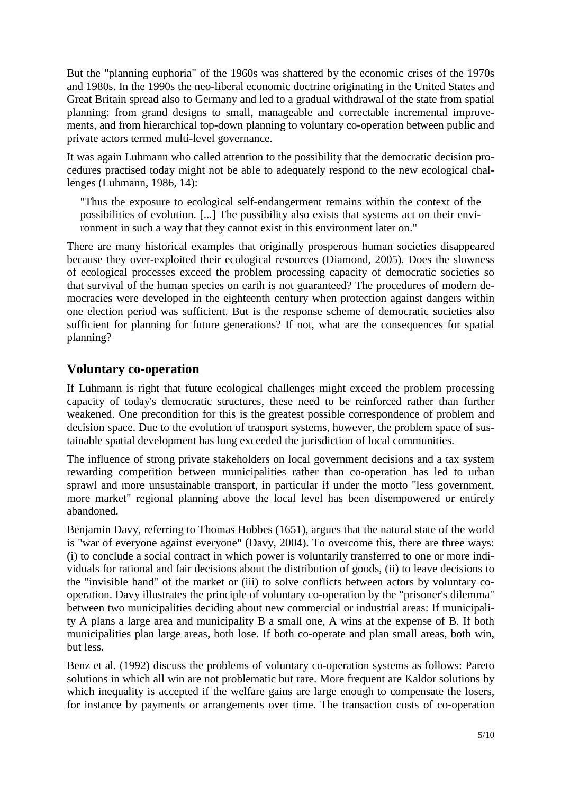But the "planning euphoria" of the 1960s was shattered by the economic crises of the 1970s and 1980s. In the 1990s the neo-liberal economic doctrine originating in the United States and Great Britain spread also to Germany and led to a gradual withdrawal of the state from spatial planning: from grand designs to small, manageable and correctable incremental improvements, and from hierarchical top-down planning to voluntary co-operation between public and private actors termed multi-level governance.

It was again Luhmann who called attention to the possibility that the democratic decision procedures practised today might not be able to adequately respond to the new ecological challenges (Luhmann, 1986, 14):

"Thus the exposure to ecological self-endangerment remains within the context of the possibilities of evolution. [...] The possibility also exists that systems act on their environment in such a way that they cannot exist in this environment later on."

There are many historical examples that originally prosperous human societies disappeared because they over-exploited their ecological resources (Diamond, 2005). Does the slowness of ecological processes exceed the problem processing capacity of democratic societies so that survival of the human species on earth is not guaranteed? The procedures of modern democracies were developed in the eighteenth century when protection against dangers within one election period was sufficient. But is the response scheme of democratic societies also sufficient for planning for future generations? If not, what are the consequences for spatial planning?

#### **Voluntary co-operation**

If Luhmann is right that future ecological challenges might exceed the problem processing capacity of today's democratic structures, these need to be reinforced rather than further weakened. One precondition for this is the greatest possible correspondence of problem and decision space. Due to the evolution of transport systems, however, the problem space of sustainable spatial development has long exceeded the jurisdiction of local communities.

The influence of strong private stakeholders on local government decisions and a tax system rewarding competition between municipalities rather than co-operation has led to urban sprawl and more unsustainable transport, in particular if under the motto "less government, more market" regional planning above the local level has been disempowered or entirely abandoned.

Benjamin Davy, referring to Thomas Hobbes (1651), argues that the natural state of the world is "war of everyone against everyone" (Davy, 2004). To overcome this, there are three ways: (i) to conclude a social contract in which power is voluntarily transferred to one or more individuals for rational and fair decisions about the distribution of goods, (ii) to leave decisions to the "invisible hand" of the market or (iii) to solve conflicts between actors by voluntary cooperation. Davy illustrates the principle of voluntary co-operation by the "prisoner's dilemma" between two municipalities deciding about new commercial or industrial areas: If municipality A plans a large area and municipality B a small one, A wins at the expense of B. If both municipalities plan large areas, both lose. If both co-operate and plan small areas, both win, but less.

Benz et al. (1992) discuss the problems of voluntary co-operation systems as follows: Pareto solutions in which all win are not problematic but rare. More frequent are Kaldor solutions by which inequality is accepted if the welfare gains are large enough to compensate the losers, for instance by payments or arrangements over time. The transaction costs of co-operation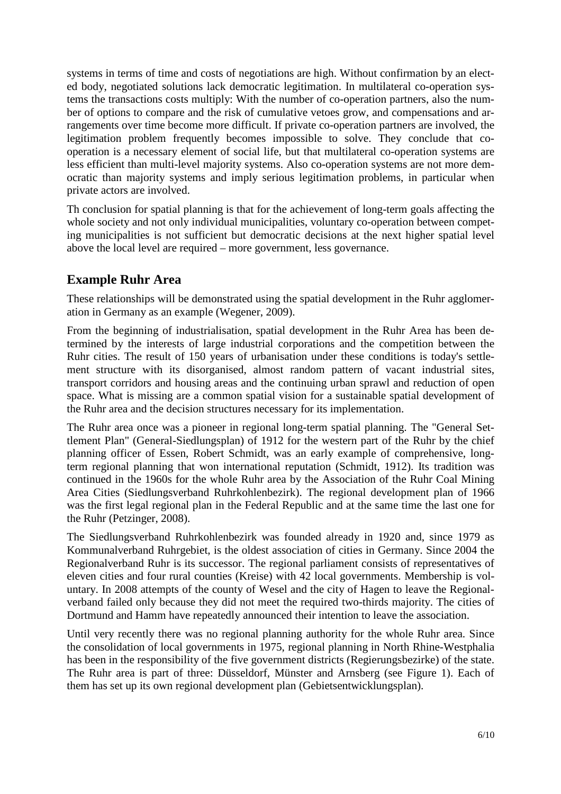systems in terms of time and costs of negotiations are high. Without confirmation by an elected body, negotiated solutions lack democratic legitimation. In multilateral co-operation systems the transactions costs multiply: With the number of co-operation partners, also the number of options to compare and the risk of cumulative vetoes grow, and compensations and arrangements over time become more difficult. If private co-operation partners are involved, the legitimation problem frequently becomes impossible to solve. They conclude that cooperation is a necessary element of social life, but that multilateral co-operation systems are less efficient than multi-level majority systems. Also co-operation systems are not more democratic than majority systems and imply serious legitimation problems, in particular when private actors are involved.

Th conclusion for spatial planning is that for the achievement of long-term goals affecting the whole society and not only individual municipalities, voluntary co-operation between competing municipalities is not sufficient but democratic decisions at the next higher spatial level above the local level are required – more government, less governance.

# **Example Ruhr Area**

These relationships will be demonstrated using the spatial development in the Ruhr agglomeration in Germany as an example (Wegener, 2009).

From the beginning of industrialisation, spatial development in the Ruhr Area has been determined by the interests of large industrial corporations and the competition between the Ruhr cities. The result of 150 years of urbanisation under these conditions is today's settlement structure with its disorganised, almost random pattern of vacant industrial sites, transport corridors and housing areas and the continuing urban sprawl and reduction of open space. What is missing are a common spatial vision for a sustainable spatial development of the Ruhr area and the decision structures necessary for its implementation.

The Ruhr area once was a pioneer in regional long-term spatial planning. The "General Settlement Plan" (General-Siedlungsplan) of 1912 for the western part of the Ruhr by the chief planning officer of Essen, Robert Schmidt, was an early example of comprehensive, longterm regional planning that won international reputation (Schmidt, 1912). Its tradition was continued in the 1960s for the whole Ruhr area by the Association of the Ruhr Coal Mining Area Cities (Siedlungsverband Ruhrkohlenbezirk). The regional development plan of 1966 was the first legal regional plan in the Federal Republic and at the same time the last one for the Ruhr (Petzinger, 2008).

The Siedlungsverband Ruhrkohlenbezirk was founded already in 1920 and, since 1979 as Kommunalverband Ruhrgebiet, is the oldest association of cities in Germany. Since 2004 the Regionalverband Ruhr is its successor. The regional parliament consists of representatives of eleven cities and four rural counties (Kreise) with 42 local governments. Membership is voluntary. In 2008 attempts of the county of Wesel and the city of Hagen to leave the Regionalverband failed only because they did not meet the required two-thirds majority. The cities of Dortmund and Hamm have repeatedly announced their intention to leave the association.

Until very recently there was no regional planning authority for the whole Ruhr area. Since the consolidation of local governments in 1975, regional planning in North Rhine-Westphalia has been in the responsibility of the five government districts (Regierungsbezirke) of the state. The Ruhr area is part of three: Düsseldorf, Münster and Arnsberg (see Figure 1). Each of them has set up its own regional development plan (Gebietsentwicklungsplan).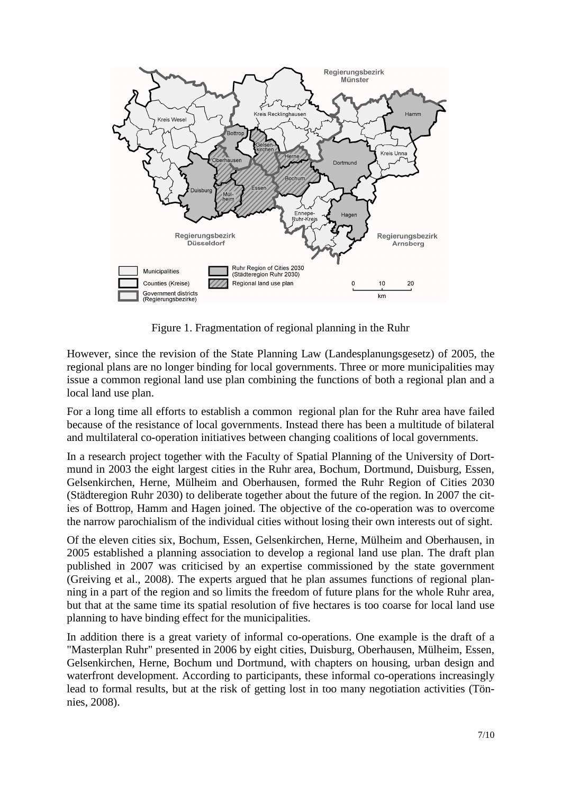

Figure 1. Fragmentation of regional planning in the Ruhr

However, since the revision of the State Planning Law (Landesplanungsgesetz) of 2005, the regional plans are no longer binding for local governments. Three or more municipalities may issue a common regional land use plan combining the functions of both a regional plan and a local land use plan.

For a long time all efforts to establish a common regional plan for the Ruhr area have failed because of the resistance of local governments. Instead there has been a multitude of bilateral and multilateral co-operation initiatives between changing coalitions of local governments.

In a research project together with the Faculty of Spatial Planning of the University of Dortmund in 2003 the eight largest cities in the Ruhr area, Bochum, Dortmund, Duisburg, Essen, Gelsenkirchen, Herne, Mülheim and Oberhausen, formed the Ruhr Region of Cities 2030 (Städteregion Ruhr 2030) to deliberate together about the future of the region. In 2007 the cities of Bottrop, Hamm and Hagen joined. The objective of the co-operation was to overcome the narrow parochialism of the individual cities without losing their own interests out of sight.

Of the eleven cities six, Bochum, Essen, Gelsenkirchen, Herne, Mülheim and Oberhausen, in 2005 established a planning association to develop a regional land use plan. The draft plan published in 2007 was criticised by an expertise commissioned by the state government (Greiving et al., 2008). The experts argued that he plan assumes functions of regional planning in a part of the region and so limits the freedom of future plans for the whole Ruhr area, but that at the same time its spatial resolution of five hectares is too coarse for local land use planning to have binding effect for the municipalities.

In addition there is a great variety of informal co-operations. One example is the draft of a "Masterplan Ruhr" presented in 2006 by eight cities, Duisburg, Oberhausen, Mülheim, Essen, Gelsenkirchen, Herne, Bochum und Dortmund, with chapters on housing, urban design and waterfront development. According to participants, these informal co-operations increasingly lead to formal results, but at the risk of getting lost in too many negotiation activities (Tönnies, 2008).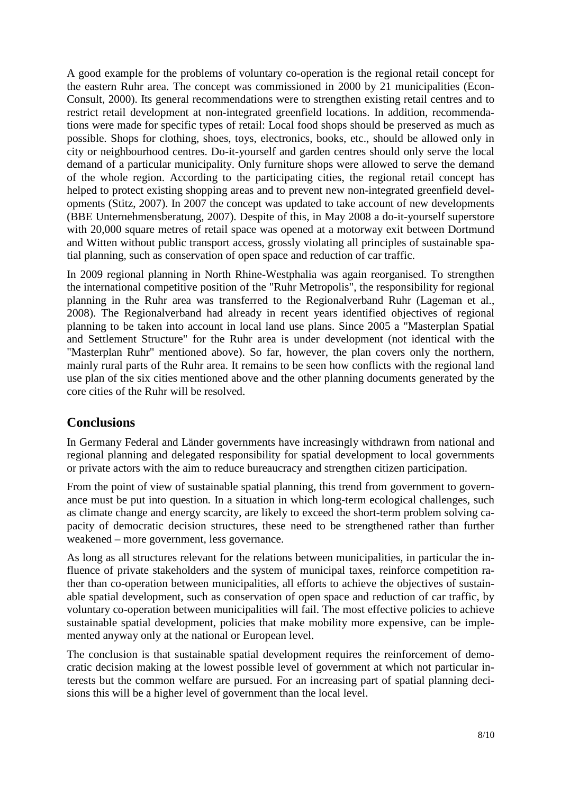A good example for the problems of voluntary co-operation is the regional retail concept for the eastern Ruhr area. The concept was commissioned in 2000 by 21 municipalities (Econ-Consult, 2000). Its general recommendations were to strengthen existing retail centres and to restrict retail development at non-integrated greenfield locations. In addition, recommendations were made for specific types of retail: Local food shops should be preserved as much as possible. Shops for clothing, shoes, toys, electronics, books, etc., should be allowed only in city or neighbourhood centres. Do-it-yourself and garden centres should only serve the local demand of a particular municipality. Only furniture shops were allowed to serve the demand of the whole region. According to the participating cities, the regional retail concept has helped to protect existing shopping areas and to prevent new non-integrated greenfield developments (Stitz, 2007). In 2007 the concept was updated to take account of new developments (BBE Unternehmensberatung, 2007). Despite of this, in May 2008 a do-it-yourself superstore with 20,000 square metres of retail space was opened at a motorway exit between Dortmund and Witten without public transport access, grossly violating all principles of sustainable spatial planning, such as conservation of open space and reduction of car traffic.

In 2009 regional planning in North Rhine-Westphalia was again reorganised. To strengthen the international competitive position of the "Ruhr Metropolis", the responsibility for regional planning in the Ruhr area was transferred to the Regionalverband Ruhr (Lageman et al., 2008). The Regionalverband had already in recent years identified objectives of regional planning to be taken into account in local land use plans. Since 2005 a "Masterplan Spatial and Settlement Structure" for the Ruhr area is under development (not identical with the "Masterplan Ruhr" mentioned above). So far, however, the plan covers only the northern, mainly rural parts of the Ruhr area. It remains to be seen how conflicts with the regional land use plan of the six cities mentioned above and the other planning documents generated by the core cities of the Ruhr will be resolved.

#### **Conclusions**

In Germany Federal and Länder governments have increasingly withdrawn from national and regional planning and delegated responsibility for spatial development to local governments or private actors with the aim to reduce bureaucracy and strengthen citizen participation.

From the point of view of sustainable spatial planning, this trend from government to governance must be put into question*.* In a situation in which long-term ecological challenges, such as climate change and energy scarcity, are likely to exceed the short-term problem solving capacity of democratic decision structures, these need to be strengthened rather than further weakened – more government, less governance.

As long as all structures relevant for the relations between municipalities, in particular the influence of private stakeholders and the system of municipal taxes, reinforce competition rather than co-operation between municipalities, all efforts to achieve the objectives of sustainable spatial development, such as conservation of open space and reduction of car traffic, by voluntary co-operation between municipalities will fail. The most effective policies to achieve sustainable spatial development, policies that make mobility more expensive, can be implemented anyway only at the national or European level.

The conclusion is that sustainable spatial development requires the reinforcement of democratic decision making at the lowest possible level of government at which not particular interests but the common welfare are pursued. For an increasing part of spatial planning decisions this will be a higher level of government than the local level.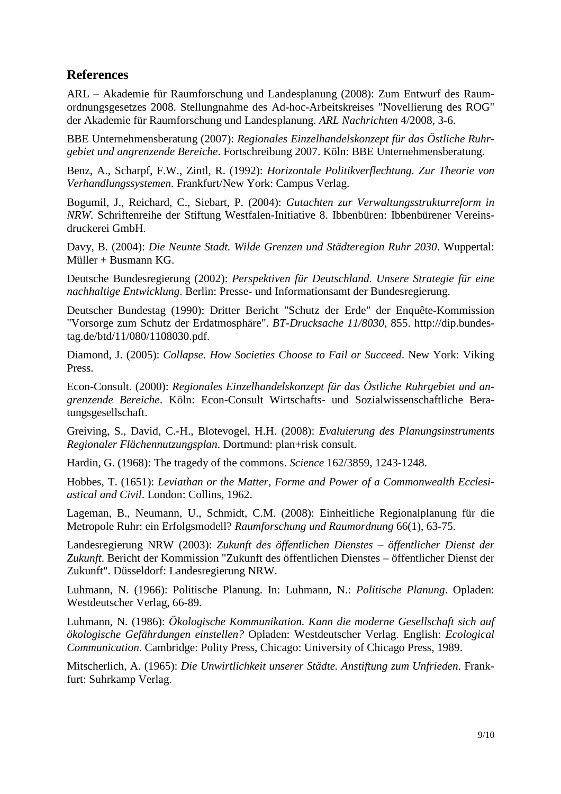# **References**

ARL – Akademie für Raumforschung und Landesplanung (2008): Zum Entwurf des Raumordnungsgesetzes 2008. Stellungnahme des Ad-hoc-Arbeitskreises "Novellierung des ROG" der Akademie für Raumforschung und Landesplanung. *ARL Nachrichten* 4/2008, 3-6.

BBE Unternehmensberatung (2007): *Regionales Einzelhandelskonzept für das Östliche Ruhrgebiet und angrenzende Bereiche*. Fortschreibung 2007. Köln: BBE Unternehmensberatung.

Benz, A., Scharpf, F.W., Zintl, R. (1992): *Horizontale Politikverflechtung. Zur Theorie von Verhandlungssystemen*. Frankfurt/New York: Campus Verlag.

Bogumil, J., Reichard, C., Siebart, P. (2004): *Gutachten zur Verwaltungsstrukturreform in NRW*. Schriftenreihe der Stiftung Westfalen-Initiative 8. Ibbenbüren: Ibbenbürener Vereinsdruckerei GmbH.

Davy, B. (2004): *Die Neunte Stadt. Wilde Grenzen und Städteregion Ruhr 2030*. Wuppertal: Müller + Busmann KG.

Deutsche Bundesregierung (2002): *Perspektiven für Deutschland. Unsere Strategie für eine nachhaltige Entwicklung*. Berlin: Presse- und Informationsamt der Bundesregierung.

Deutscher Bundestag (1990): Dritter Bericht "Schutz der Erde" der Enquête-Kommission "Vorsorge zum Schutz der Erdatmosphäre". *BT-Drucksache 11/8030*, 855. http://dip.bundestag.de/btd/11/080/1108030.pdf.

Diamond, J. (2005): *Collapse. How Societies Choose to Fail or Succeed*. New York: Viking Press.

Econ-Consult. (2000): *Regionales Einzelhandelskonzept für das Östliche Ruhrgebiet und angrenzende Bereiche*. Köln: Econ-Consult Wirtschafts- und Sozialwissenschaftliche Beratungsgesellschaft.

Greiving, S., David, C.-H., Blotevogel, H.H. (2008): *Evaluierung des Planungsinstruments Regionaler Flächennutzungsplan*. Dortmund: plan+risk consult.

Hardin, G. (1968): The tragedy of the commons. *Science* 162/3859, 1243-1248.

Hobbes, T. (1651): *Leviathan or the Matter, Forme and Power of a Commonwealth Ecclesiastical and Civil*. London: Collins, 1962.

Lageman, B., Neumann, U., Schmidt, C.M. (2008): Einheitliche Regionalplanung für die Metropole Ruhr: ein Erfolgsmodell? *Raumforschung und Raumordnung* 66(1), 63-75.

Landesregierung NRW (2003): *Zukunft des öffentlichen Dienstes – öffentlicher Dienst der Zukunft*. Bericht der Kommission "Zukunft des öffentlichen Dienstes – öffentlicher Dienst der Zukunft". Düsseldorf: Landesregierung NRW.

Luhmann, N. (1966): Politische Planung. In: Luhmann, N.: *Politische Planung*. Opladen: Westdeutscher Verlag, 66-89.

Luhmann, N. (1986): *Ökologische Kommunikation. Kann die moderne Gesellschaft sich auf ökologische Gefährdungen einstellen?* Opladen: Westdeutscher Verlag. English: *Ecological Communication*. Cambridge: Polity Press, Chicago: University of Chicago Press, 1989.

Mitscherlich, A. (1965): *Die Unwirtlichkeit unserer Städte. Anstiftung zum Unfrieden*. Frankfurt: Suhrkamp Verlag.